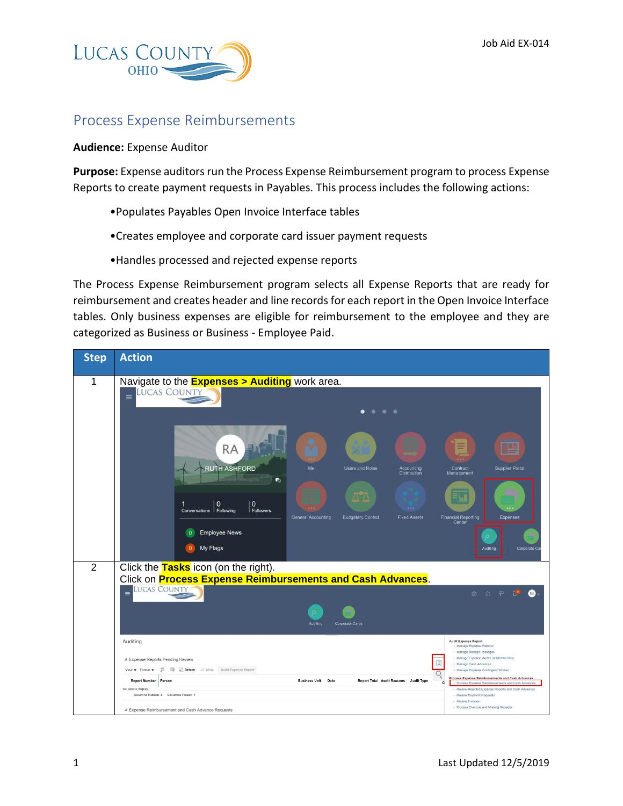

## Process Expense Reimbursements

## **Audience:** Expense Auditor

**Purpose:** Expense auditors run the Process Expense Reimbursement program to process Expense Reports to create payment requests in Payables. This process includes the following actions:

- •Populates Payables Open Invoice Interface tables
- •Creates employee and corporate card issuer payment requests
- •Handles processed and rejected expense reports

The Process Expense Reimbursement program selects all Expense Reports that are ready for reimbursement and creates header and line records for each report in the Open Invoice Interface tables. Only business expenses are eligible for reimbursement to the employee and they are categorized as Business or Business - Employee Paid.

| <b>Step</b>    | <b>Action</b>                                                                                                                                                                                                                                                                                                                                                        |                                                                                                                                                                                        |  |  |  |  |  |
|----------------|----------------------------------------------------------------------------------------------------------------------------------------------------------------------------------------------------------------------------------------------------------------------------------------------------------------------------------------------------------------------|----------------------------------------------------------------------------------------------------------------------------------------------------------------------------------------|--|--|--|--|--|
| 1              | Navigate to the <b>Expenses &gt; Auditing</b> work area.<br><b>LUCAS COUNTY</b><br>$\equiv$<br>$\begin{array}{ccccccccccccccccc} \bullet & \bullet & \bullet & \bullet & \bullet \end{array}$                                                                                                                                                                        |                                                                                                                                                                                        |  |  |  |  |  |
|                | <b>RA</b><br><b>RUTH ASHFORD</b><br>Me<br><b>Users and Roles</b><br><b>Accounting</b><br><b>Distribution</b><br>U.<br>$\wedge \wedge$<br>$\mathbf{0}$<br>$\mathbf{0}$<br>1<br><br>Conversations   Following<br>Followers<br><b>General Accounting</b><br><b>Budgetary Control</b><br><b>Fixed Assets</b><br><b>Employee News</b><br>$\Omega$<br>My Flags<br>$\Omega$ | <b>Supplier Portal</b><br>Contract<br>Management<br><b>Financial Reporting</b><br><b>Expenses</b><br>Center<br>Auditing<br>Corporate Ca                                                |  |  |  |  |  |
| $\overline{2}$ | Click the Tasks icon (on the right).<br>Click on <b>Process Expense Reimbursements and Cash Advances</b> .<br><b>LUCAS COUNTY</b><br>$\equiv$<br>Auditing<br>Corporate Cards<br>Auditing<br># Expense Reports Pending Review                                                                                                                                         | $\approx$<br><b>n</b><br><b>Audit Expense Report</b><br>· Manage Expense Reports<br>· Manage Receipt Packages<br>· Manage Expense Audit List Membership<br>E<br>· Manage Cash Advances |  |  |  |  |  |
|                | 罗 呼 <b>Detach</b> al Wrap<br>Audit Expense Report<br>View $\blacktriangledown$ Format $\blacktriangledown$<br><b>Business Unit Date</b><br><b>Report Total Audit Reasons Audit Type</b><br><b>Report Number</b><br>Person                                                                                                                                            | · Manage Expense Contingent Worker<br>Process Expense Reimbursements and Cash Advances<br>$\alpha$<br>· Process Expense Reimbursements and Cash Advances                               |  |  |  |  |  |
|                | No data to display.<br>Columns Hidden 4 Columns Frozen 1<br>Expense Reimbursement and Cash Advance Requests                                                                                                                                                                                                                                                          | · Review Rejected Expense Reports and Cash Advances<br>· Review Payment Requests<br>· Review Invoices<br>· Process Overdue and Missing Receipts                                        |  |  |  |  |  |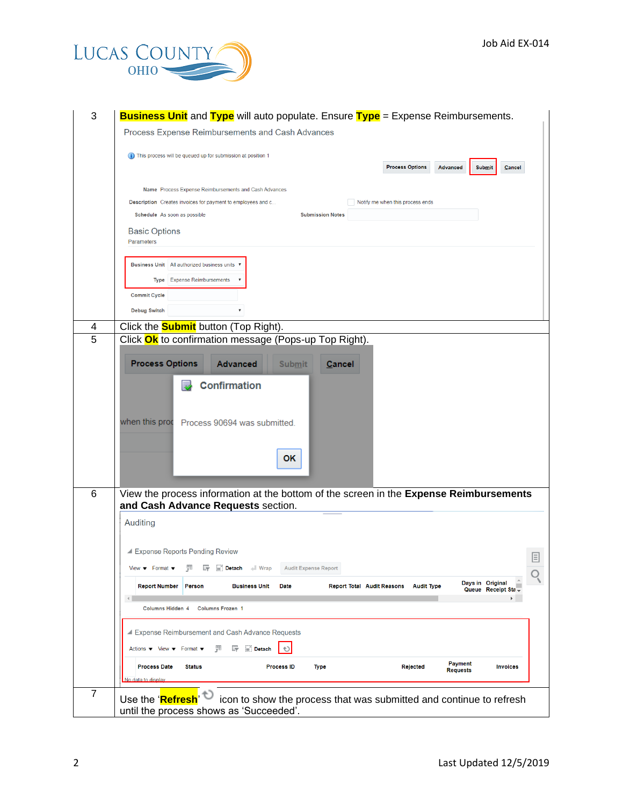

| 3              | <b>Business Unit</b> and Type will auto populate. Ensure Type = Expense Reimbursements.<br>Process Expense Reimbursements and Cash Advances                                    |  |  |  |  |  |
|----------------|--------------------------------------------------------------------------------------------------------------------------------------------------------------------------------|--|--|--|--|--|
|                | (i) This process will be queued up for submission at position 1                                                                                                                |  |  |  |  |  |
|                | <b>Process Options</b><br>Advanced<br><b>Submit</b><br>Cancel<br>Name Process Expense Reimbursements and Cash Advances                                                         |  |  |  |  |  |
|                | Description Creates invoices for payment to employees and c<br>Notify me when this process ends                                                                                |  |  |  |  |  |
|                | Schedule As soon as possible<br><b>Submission Notes</b>                                                                                                                        |  |  |  |  |  |
|                | <b>Basic Options</b><br>Parameters                                                                                                                                             |  |  |  |  |  |
|                | Business Unit   All authorized business units                                                                                                                                  |  |  |  |  |  |
|                | <b>Expense Reimbursements</b><br><b>Type</b>                                                                                                                                   |  |  |  |  |  |
|                | <b>Commit Cycle</b>                                                                                                                                                            |  |  |  |  |  |
|                | <b>Debug Switch</b>                                                                                                                                                            |  |  |  |  |  |
|                |                                                                                                                                                                                |  |  |  |  |  |
| 4<br>5         | Click the <b>Submit</b> button (Top Right).<br>Click Ok to confirmation message (Pops-up Top Right).                                                                           |  |  |  |  |  |
|                |                                                                                                                                                                                |  |  |  |  |  |
|                | <b>Process Options</b><br><b>Advanced</b><br><b>Submit</b><br><b>Cancel</b>                                                                                                    |  |  |  |  |  |
|                | <b>Confirmation</b><br>when this prod Process 90694 was submitted.                                                                                                             |  |  |  |  |  |
|                | 0K.                                                                                                                                                                            |  |  |  |  |  |
| 6              | View the process information at the bottom of the screen in the Expense Reimbursements<br>and Cash Advance Requests section.                                                   |  |  |  |  |  |
|                |                                                                                                                                                                                |  |  |  |  |  |
|                | Auditing                                                                                                                                                                       |  |  |  |  |  |
|                | ▲ Expense Reports Pending Review                                                                                                                                               |  |  |  |  |  |
|                | E<br>View $\blacktriangledown$ Format $\blacktriangledown$<br>驆<br>Detach<br>Wrap<br><b>Audit Expense Report</b>                                                               |  |  |  |  |  |
|                | Q<br>Days in Original                                                                                                                                                          |  |  |  |  |  |
|                | <b>Report Number</b><br><b>Person</b><br><b>Business Unit</b><br>Date<br><b>Report Total Audit Reasons</b><br><b>Audit Type</b><br>Queue Receipt Sta<br>$\left  \cdot \right $ |  |  |  |  |  |
|                | <b>Columns Hidden 4</b><br><b>Columns Frozen 1</b>                                                                                                                             |  |  |  |  |  |
|                |                                                                                                                                                                                |  |  |  |  |  |
|                | Expense Reimbursement and Cash Advance Requests                                                                                                                                |  |  |  |  |  |
|                | 驆<br>$\mathbb{F}$ $\mathbb{F}$ Detach<br>Actions $\blacktriangledown$ View $\blacktriangledown$ Format $\blacktriangledown$                                                    |  |  |  |  |  |
|                | Payment<br><b>Process Date</b><br><b>Status</b><br><b>Process ID</b><br><b>Type</b><br>Rejected<br><b>Invoices</b><br><b>Requests</b>                                          |  |  |  |  |  |
|                | No data to display                                                                                                                                                             |  |  |  |  |  |
| $\overline{7}$ | icon to show the process that was submitted and continue to refresh<br>Use the 'Refresh<br>until the process shows as 'Succeeded'.                                             |  |  |  |  |  |